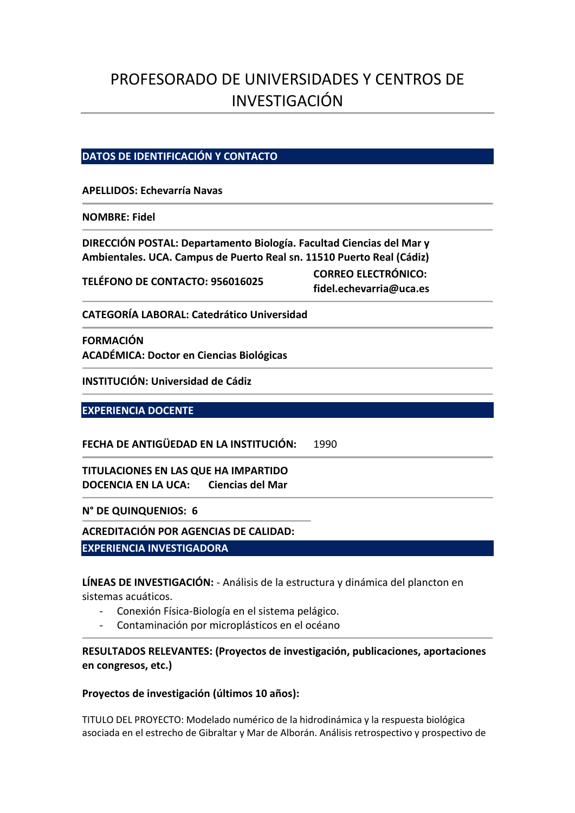# PROFESORADO DE UNIVERSIDADES Y CENTROS DE INVESTIGACIÓN

# **DATOS DE IDENTIFICACIÓN Y CONTACTO**

**APELLIDOS: Echevarría Navas**

**NOMBRE: Fidel**

**DIRECCIÓN POSTAL: Departamento Biología. Facultad Ciencias del Mar y Ambientales. UCA. Campus de Puerto Real sn. 11510 Puerto Real (Cádiz)**

**TELÉFONO DE CONTACTO: 956016025 CORREO ELECTRÓNICO:** 

**fidel.echevarria@uca.es**

**CATEGORÍA LABORAL: Catedrático Universidad**

**FORMACIÓN ACADÉMICA: Doctor en Ciencias Biológicas**

**INSTITUCIÓN: Universidad de Cádiz**

**EXPERIENCIA DOCENTE**

**FECHA DE ANTIGÜEDAD EN LA INSTITUCIÓN:** 1990

**TITULACIONES EN LAS QUE HA IMPARTIDO DOCENCIA EN LA UCA: Ciencias del Mar**

**N° DE QUINQUENIOS: 6**

**ACREDITACIÓN POR AGENCIAS DE CALIDAD:**

**EXPERIENCIA INVESTIGADORA**

**LÍNEAS DE INVESTIGACIÓN:** - Análisis de la estructura y dinámica del plancton en sistemas acuáticos.

- Conexión Física-Biología en el sistema pelágico.
- Contaminación por microplásticos en el océano

**RESULTADOS RELEVANTES: (Proyectos de investigación, publicaciones, aportaciones en congresos, etc.)**

**Proyectos de investigación (últimos 10 años):**

TITULO DEL PROYECTO: Modelado numérico de la hidrodinámica y la respuesta biológica asociada en el estrecho de Gibraltar y Mar de Alborán. Análisis retrospectivo y prospectivo de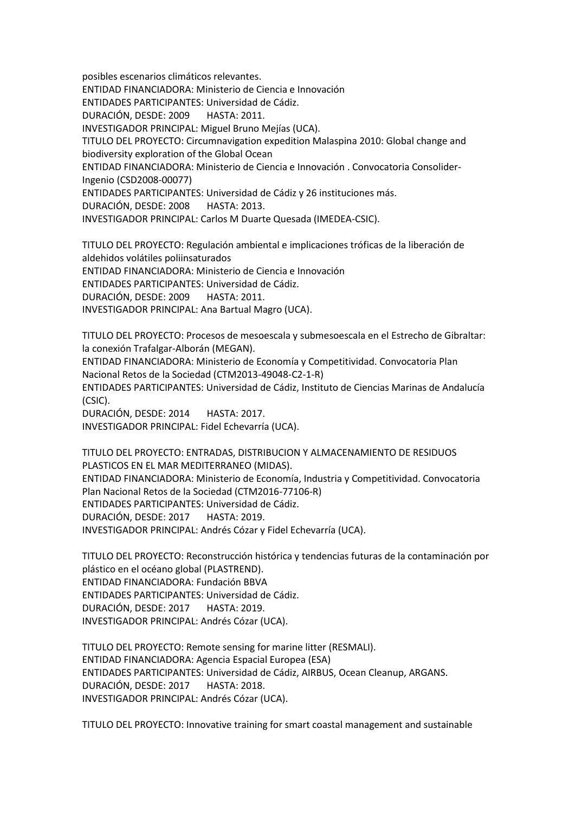posibles escenarios climáticos relevantes.

ENTIDAD FINANCIADORA: Ministerio de Ciencia e Innovación

ENTIDADES PARTICIPANTES: Universidad de Cádiz.

DURACIÓN, DESDE: 2009 HASTA: 2011.

INVESTIGADOR PRINCIPAL: Miguel Bruno Mejías (UCA).

TITULO DEL PROYECTO: Circumnavigation expedition Malaspina 2010: Global change and biodiversity exploration of the Global Ocean

ENTIDAD FINANCIADORA: Ministerio de Ciencia e Innovación . Convocatoria Consolider-Ingenio (CSD2008-00077)

ENTIDADES PARTICIPANTES: Universidad de Cádiz y 26 instituciones más.

DURACIÓN, DESDE: 2008 HASTA: 2013.

INVESTIGADOR PRINCIPAL: Carlos M Duarte Quesada (IMEDEA-CSIC).

TITULO DEL PROYECTO: Regulación ambiental e implicaciones tróficas de la liberación de aldehidos volátiles poliinsaturados ENTIDAD FINANCIADORA: Ministerio de Ciencia e Innovación ENTIDADES PARTICIPANTES: Universidad de Cádiz. DURACIÓN, DESDE: 2009 HASTA: 2011. INVESTIGADOR PRINCIPAL: Ana Bartual Magro (UCA).

TITULO DEL PROYECTO: Procesos de mesoescala y submesoescala en el Estrecho de Gibraltar: la conexión Trafalgar-Alborán (MEGAN).

ENTIDAD FINANCIADORA: Ministerio de Economía y Competitividad. Convocatoria Plan Nacional Retos de la Sociedad (CTM2013-49048-C2-1-R)

ENTIDADES PARTICIPANTES: Universidad de Cádiz, Instituto de Ciencias Marinas de Andalucía (CSIC).

DURACIÓN, DESDE: 2014 HASTA: 2017. INVESTIGADOR PRINCIPAL: Fidel Echevarría (UCA).

TITULO DEL PROYECTO: ENTRADAS, DISTRIBUCION Y ALMACENAMIENTO DE RESIDUOS PLASTICOS EN EL MAR MEDITERRANEO (MIDAS). ENTIDAD FINANCIADORA: Ministerio de Economía, Industria y Competitividad. Convocatoria Plan Nacional Retos de la Sociedad (CTM2016-77106-R) ENTIDADES PARTICIPANTES: Universidad de Cádiz. DURACIÓN, DESDE: 2017 HASTA: 2019. INVESTIGADOR PRINCIPAL: Andrés Cózar y Fidel Echevarría (UCA).

TITULO DEL PROYECTO: Reconstrucción histórica y tendencias futuras de la contaminación por plástico en el océano global (PLASTREND). ENTIDAD FINANCIADORA: Fundación BBVA ENTIDADES PARTICIPANTES: Universidad de Cádiz. DURACIÓN, DESDE: 2017 HASTA: 2019. INVESTIGADOR PRINCIPAL: Andrés Cózar (UCA).

TITULO DEL PROYECTO: Remote sensing for marine litter (RESMALI). ENTIDAD FINANCIADORA: Agencia Espacial Europea (ESA) ENTIDADES PARTICIPANTES: Universidad de Cádiz, AIRBUS, Ocean Cleanup, ARGANS. DURACIÓN, DESDE: 2017 HASTA: 2018. INVESTIGADOR PRINCIPAL: Andrés Cózar (UCA).

TITULO DEL PROYECTO: Innovative training for smart coastal management and sustainable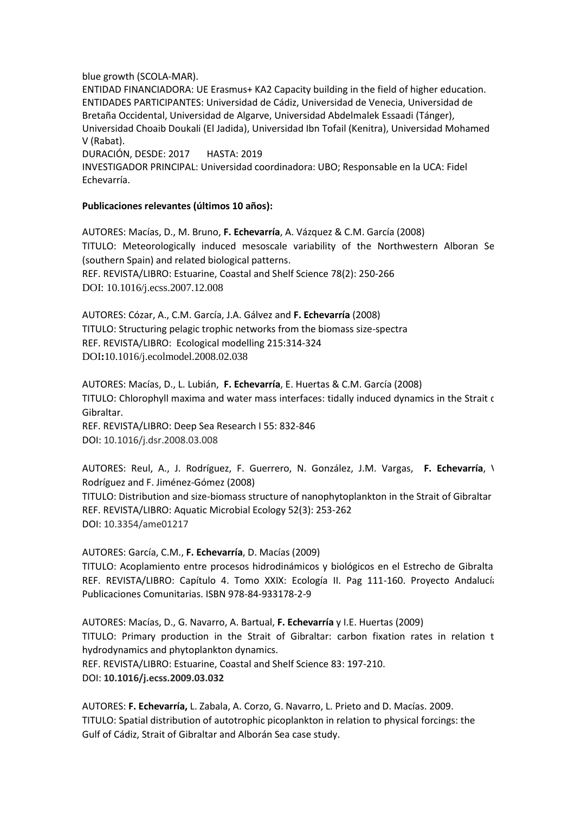blue growth (SCOLA-MAR).

ENTIDAD FINANCIADORA: UE Erasmus+ KA2 Capacity building in the field of higher education. ENTIDADES PARTICIPANTES: Universidad de Cádiz, Universidad de Venecia, Universidad de Bretaña Occidental, Universidad de Algarve, Universidad Abdelmalek Essaadi (Tánger), Universidad Choaib Doukali (El Jadida), Universidad Ibn Tofail (Kenitra), Universidad Mohamed V (Rabat).

DURACIÓN, DESDE: 2017 HASTA: 2019

INVESTIGADOR PRINCIPAL: Universidad coordinadora: UBO; Responsable en la UCA: Fidel Echevarría.

#### **Publicaciones relevantes (últimos 10 años):**

AUTORES: Macías, D., M. Bruno, **F. Echevarría**, A. Vázquez & C.M. García (2008) TITULO: Meteorologically induced mesoscale variability of the Northwestern Alboran Sea (southern Spain) and related biological patterns. REF. REVISTA/LIBRO: Estuarine, Coastal and Shelf Science 78(2): 250-266 DOI: 10.1016/j.ecss.2007.12.008

AUTORES: Cózar, A., C.M. García, J.A. Gálvez and **F. Echevarría** (2008) TITULO: Structuring pelagic trophic networks from the biomass size-spectra REF. REVISTA/LIBRO: Ecological modelling 215:314-324 DOI**:**10.1016/j.ecolmodel.2008.02.038

AUTORES: Macías, D., L. Lubián, **F. Echevarría**, E. Huertas & C.M. García (2008) TITULO: Chlorophyll maxima and water mass interfaces: tidally induced dynamics in the Strait of Gibraltar. REF. REVISTA/LIBRO: Deep Sea Research I 55: 832-846

DOI: 10.1016/j.dsr.2008.03.008

AUTORES: Reul, A., J. Rodríguez, F. Guerrero, N. González, J.M. Vargas, **F. Echevarría**, V. Rodríguez and F. Jiménez-Gómez (2008) TITULO: Distribution and size-biomass structure of nanophytoplankton in the Strait of Gibraltar REF. REVISTA/LIBRO: Aquatic Microbial Ecology 52(3): 253-262 DOI: 10.3354/ame01217

AUTORES: García, C.M., **F. Echevarría**, D. Macías (2009) TITULO: Acoplamiento entre procesos hidrodinámicos y biológicos en el Estrecho de Gibraltar. REF. REVISTA/LIBRO: Capítulo 4. Tomo XXIX: Ecología II. Pag 111-160. Proyecto Andalucía. Publicaciones Comunitarias. ISBN 978-84-933178-2-9

AUTORES: Macías, D., G. Navarro, A. Bartual, **F. Echevarría** y I.E. Huertas (2009) TITULO: Primary production in the Strait of Gibraltar: carbon fixation rates in relation to hydrodynamics and phytoplankton dynamics. REF. REVISTA/LIBRO: Estuarine, Coastal and Shelf Science 83: 197-210. DOI: **10.1016/j.ecss.2009.03.032**

AUTORES: **F. Echevarría,** L. Zabala, A. Corzo, G. Navarro, L. Prieto and D. Macías. 2009. TITULO: Spatial distribution of autotrophic picoplankton in relation to physical forcings: the Gulf of Cádiz, Strait of Gibraltar and Alborán Sea case study.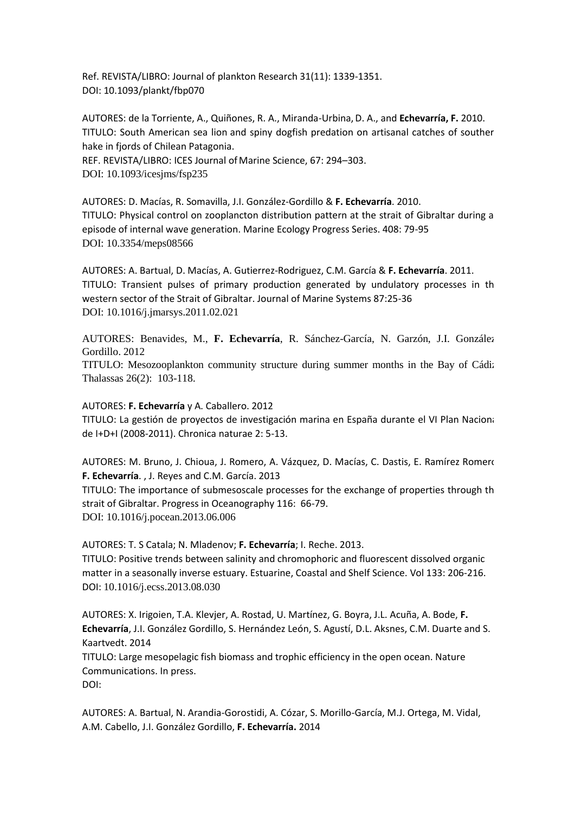Ref. REVISTA/LIBRO: Journal of plankton Research 31(11): 1339-1351. DOI: 10.1093/plankt/fbp070

AUTORES: de la Torriente, A., Quiñones, R. A., Miranda-Urbina,D. A., and **Echevarría, F.** 2010. TITULO: South American sea lion and spiny dogfish predation on artisanal catches of southern hake in fjords of Chilean Patagonia.

REF. REVISTA/LIBRO: ICES Journal of Marine Science, 67: 294-303. DOI: 10.1093/icesjms/fsp235

AUTORES: D. Macías, R. Somavilla, J.I. González-Gordillo & **F. Echevarría**. 2010. TITULO: Physical control on zooplancton distribution pattern at the strait of Gibraltar during an episode of internal wave generation. Marine Ecology Progress Series. 408: 79-95 DOI: 10.3354/meps08566

AUTORES: A. Bartual, D. Macías, A. Gutierrez-Rodriguez, C.M. García & **F. Echevarría**. 2011. TITULO: Transient pulses of primary production generated by undulatory processes in th western sector of the Strait of Gibraltar. Journal of Marine Systems 87:25-36 DOI: 10.1016/j.jmarsys.2011.02.021

AUTORES: Benavides, M., **F. Echevarría**, R. Sánchez-García, N. Garzón, J.I. González-Gordillo. 2012

TITULO: Mesozooplankton community structure during summer months in the Bay of Cádiz. Thalassas 26(2): 103-118.

AUTORES: **F. Echevarría** y A. Caballero. 2012

TITULO: La gestión de proyectos de investigación marina en España durante el VI Plan Nacional de I+D+I (2008-2011). Chronica naturae 2: 5-13.

AUTORES: M. Bruno, J. Chioua, J. Romero, A. Vázquez, D. Macías, C. Dastis, E. Ramírez Romero **F. Echevarría**. , J. Reyes and C.M. García. 2013

TITULO: The importance of submesoscale processes for the exchange of properties through the strait of Gibraltar. Progress in Oceanography 116: 66-79. DOI: 10.1016/j.pocean.2013.06.006

AUTORES: T. S Catala; N. Mladenov; **F. Echevarría**; I. Reche. 2013.

TITULO: Positive trends between salinity and chromophoric and fluorescent dissolved organic matter in a seasonally inverse estuary. Estuarine, Coastal and Shelf Science. Vol 133: 206-216. DOI: 10.1016/j.ecss.2013.08.030

AUTORES: X. Irigoien, T.A. Klevjer, A. Rostad, U. Martínez, G. Boyra, J.L. Acuña, A. Bode, **F. Echevarría**, J.I. González Gordillo, S. Hernández León, S. Agustí, D.L. Aksnes, C.M. Duarte and S. Kaartvedt. 2014

TITULO: Large mesopelagic fish biomass and trophic efficiency in the open ocean. Nature Communications. In press.

DOI:

AUTORES: A. Bartual, N. Arandia-Gorostidi, A. Cózar, S. Morillo-García, M.J. Ortega, M. Vidal, A.M. Cabello, J.I. González Gordillo, **F. Echevarría.** 2014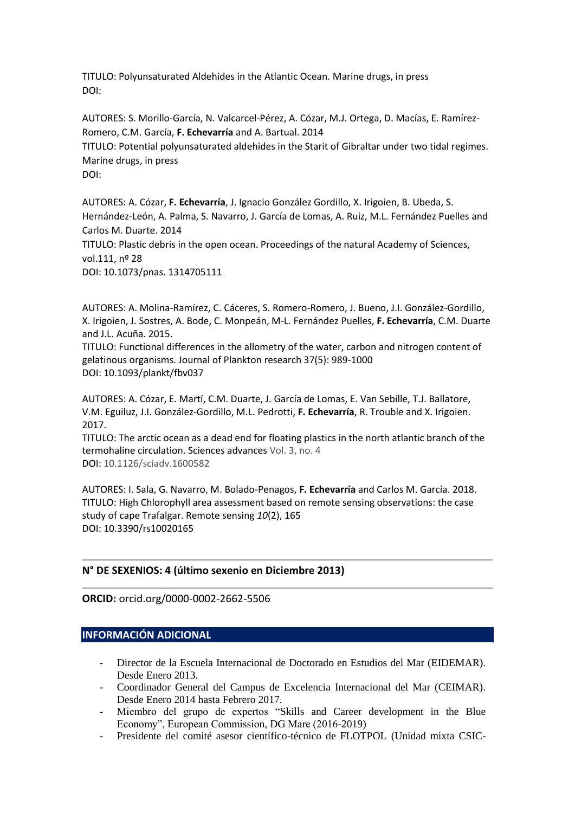TITULO: Polyunsaturated Aldehides in the Atlantic Ocean. Marine drugs, in press DOI:

AUTORES: S. Morillo-García, N. Valcarcel-Pérez, A. Cózar, M.J. Ortega, D. Macías, E. Ramírez-Romero, C.M. García, **F. Echevarría** and A. Bartual. 2014 TITULO: Potential polyunsaturated aldehides in the Starit of Gibraltar under two tidal regimes. Marine drugs, in press DOI:

AUTORES: A. Cózar, **F. Echevarría**, J. Ignacio González Gordillo, X. Irigoien, B. Ubeda, S. Hernández-León, A. Palma, S. Navarro, J. García de Lomas, A. Ruiz, M.L. Fernández Puelles and Carlos M. Duarte. 2014 TITULO: Plastic debris in the open ocean. Proceedings of the natural Academy of Sciences, vol.111, nº 28 DOI: 10.1073/pnas. 1314705111

AUTORES: A. Molina-Ramírez, C. Cáceres, S. Romero-Romero, J. Bueno, J.I. González-Gordillo, X. Irigoien, J. Sostres, A. Bode, C. Monpeán, M-L. Fernández Puelles, **F. Echevarría**, C.M. Duarte and J.L. Acuña. 2015.

TITULO: Functional differences in the allometry of the water, carbon and nitrogen content of gelatinous organisms. Journal of Plankton research 37(5): 989-1000 DOI: 10.1093/plankt/fbv037

AUTORES: A. Cózar, E. Martí, C.M. Duarte, J. García de Lomas, E. Van Sebille, T.J. Ballatore, V.M. Eguiluz, J.I. González-Gordillo, M.L. Pedrotti, **F. Echevarría**, R. Trouble and X. Irigoien. 2017.

TITULO: The arctic ocean as a dead end for floating plastics in the north atlantic branch of the termohaline circulation. Sciences advances Vol. 3, no. 4 DOI: 10.1126/sciadv.1600582

AUTORES: I. Sala, G. Navarro, M. Bolado-Penagos, **F. Echevarría** and Carlos M. García. 2018. TITULO: High Chlorophyll area assessment based on remote sensing observations: the case study of cape Trafalgar. Remote sensing *10*(2), 165 DOI: [10.3390/rs10020165](https://doi.org/10.3390/rs10020165)

## **N° DE SEXENIOS: 4 (último sexenio en Diciembre 2013)**

**ORCID:** orcid.org/0000-0002-2662-5506

## **INFORMACIÓN ADICIONAL**

- **-** Director de la Escuela Internacional de Doctorado en Estudios del Mar (EIDEMAR). Desde Enero 2013.
- **-** Coordinador General del Campus de Excelencia Internacional del Mar (CEIMAR). Desde Enero 2014 hasta Febrero 2017.
- **-** Miembro del grupo de expertos "Skills and Career development in the Blue Economy", European Commission, DG Mare (2016-2019)
- **-** Presidente del comité asesor científico-técnico de FLOTPOL (Unidad mixta CSIC-